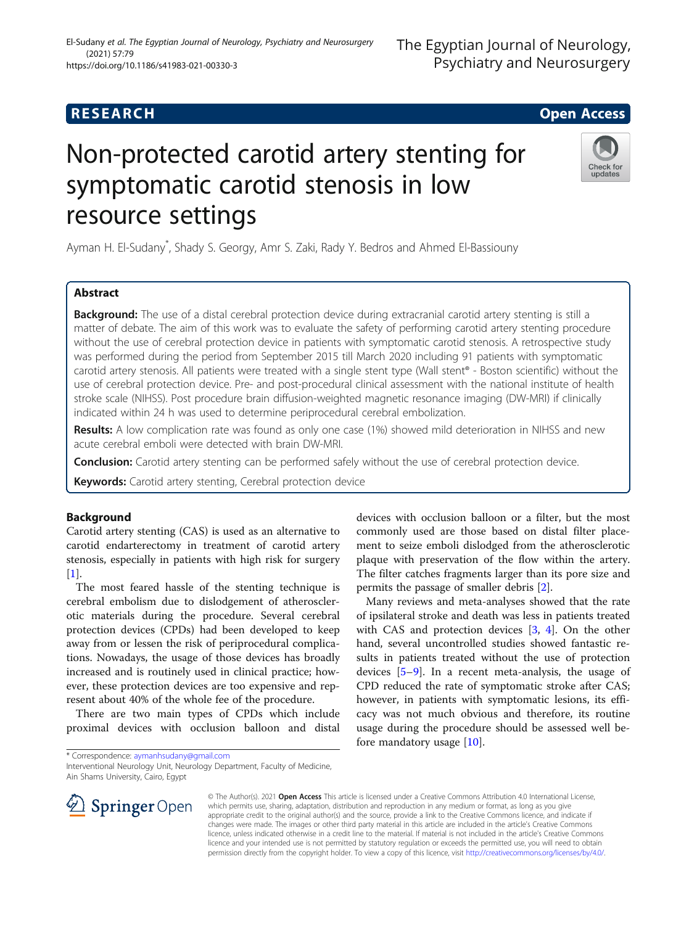# Non-protected carotid artery stenting for symptomatic carotid stenosis in low resource settings

Ayman H. El-Sudany\* , Shady S. Georgy, Amr S. Zaki, Rady Y. Bedros and Ahmed El-Bassiouny

# Abstract

Background: The use of a distal cerebral protection device during extracranial carotid artery stenting is still a matter of debate. The aim of this work was to evaluate the safety of performing carotid artery stenting procedure without the use of cerebral protection device in patients with symptomatic carotid stenosis. A retrospective study was performed during the period from September 2015 till March 2020 including 91 patients with symptomatic carotid artery stenosis. All patients were treated with a single stent type (Wall stent® - Boston scientific) without the use of cerebral protection device. Pre- and post-procedural clinical assessment with the national institute of health stroke scale (NIHSS). Post procedure brain diffusion-weighted magnetic resonance imaging (DW-MRI) if clinically indicated within 24 h was used to determine periprocedural cerebral embolization.

Results: A low complication rate was found as only one case (1%) showed mild deterioration in NIHSS and new acute cerebral emboli were detected with brain DW-MRI.

**Conclusion:** Carotid artery stenting can be performed safely without the use of cerebral protection device.

Keywords: Carotid artery stenting, Cerebral protection device

# Background

Carotid artery stenting (CAS) is used as an alternative to carotid endarterectomy in treatment of carotid artery stenosis, especially in patients with high risk for surgery  $[1]$  $[1]$ .

The most feared hassle of the stenting technique is cerebral embolism due to dislodgement of atherosclerotic materials during the procedure. Several cerebral protection devices (CPDs) had been developed to keep away from or lessen the risk of periprocedural complications. Nowadays, the usage of those devices has broadly increased and is routinely used in clinical practice; however, these protection devices are too expensive and represent about 40% of the whole fee of the procedure.

There are two main types of CPDs which include proximal devices with occlusion balloon and distal

© The Author(s). 2021 Open Access This article is licensed under a Creative Commons Attribution 4.0 International License, which permits use, sharing, adaptation, distribution and reproduction in any medium or format, as long as you give appropriate credit to the original author(s) and the source, provide a link to the Creative Commons licence, and indicate if changes were made. The images or other third party material in this article are included in the article's Creative Commons licence, unless indicated otherwise in a credit line to the material. If material is not included in the article's Creative Commons licence and your intended use is not permitted by statutory regulation or exceeds the permitted use, you will need to obtain permission directly from the copyright holder. To view a copy of this licence, visit <http://creativecommons.org/licenses/by/4.0/>.

fore mandatory usage  $[10]$  $[10]$ .

 $\mathscr{L}$  Springer Open

Interventional Neurology Unit, Neurology Department, Faculty of Medicine, Ain Shams University, Cairo, Egypt





devices with occlusion balloon or a filter, but the most commonly used are those based on distal filter placement to seize emboli dislodged from the atherosclerotic plaque with preservation of the flow within the artery. The filter catches fragments larger than its pore size and

Many reviews and meta-analyses showed that the rate of ipsilateral stroke and death was less in patients treated with CAS and protection devices [[3,](#page-4-0) [4](#page-4-0)]. On the other hand, several uncontrolled studies showed fantastic results in patients treated without the use of protection devices [\[5](#page-4-0)–[9](#page-4-0)]. In a recent meta-analysis, the usage of CPD reduced the rate of symptomatic stroke after CAS; however, in patients with symptomatic lesions, its efficacy was not much obvious and therefore, its routine usage during the procedure should be assessed well be-

permits the passage of smaller debris [\[2](#page-4-0)].



<sup>\*</sup> Correspondence: [aymanhsudany@gmail.com](mailto:aymanhsudany@gmail.com)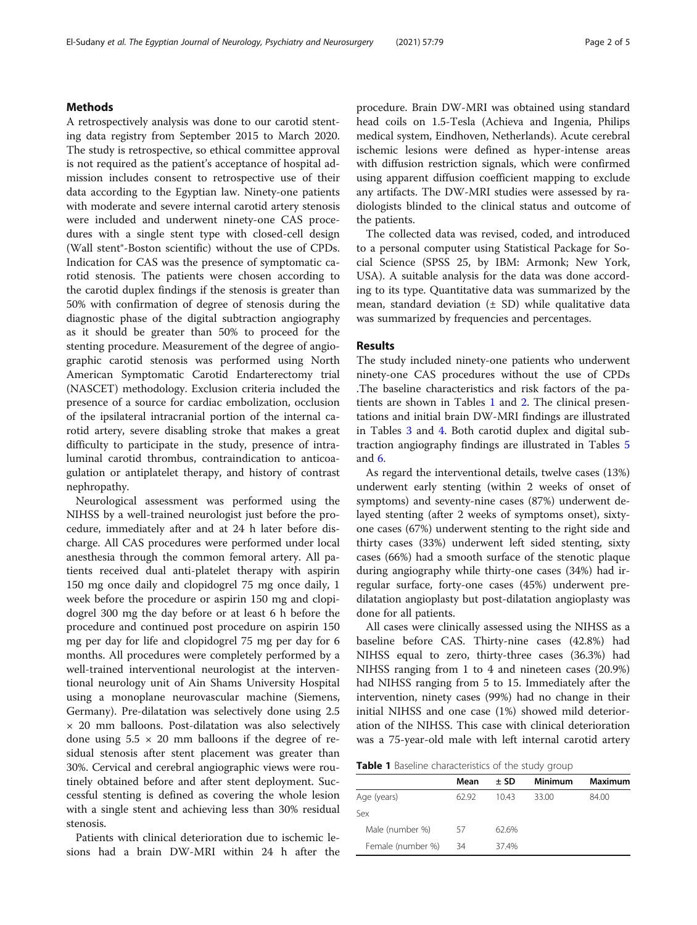# Methods

A retrospectively analysis was done to our carotid stenting data registry from September 2015 to March 2020. The study is retrospective, so ethical committee approval is not required as the patient's acceptance of hospital admission includes consent to retrospective use of their data according to the Egyptian law. Ninety-one patients with moderate and severe internal carotid artery stenosis were included and underwent ninety-one CAS procedures with a single stent type with closed-cell design (Wall stent®-Boston scientific) without the use of CPDs. Indication for CAS was the presence of symptomatic carotid stenosis. The patients were chosen according to the carotid duplex findings if the stenosis is greater than 50% with confirmation of degree of stenosis during the diagnostic phase of the digital subtraction angiography as it should be greater than 50% to proceed for the stenting procedure. Measurement of the degree of angiographic carotid stenosis was performed using North American Symptomatic Carotid Endarterectomy trial (NASCET) methodology. Exclusion criteria included the presence of a source for cardiac embolization, occlusion of the ipsilateral intracranial portion of the internal carotid artery, severe disabling stroke that makes a great difficulty to participate in the study, presence of intraluminal carotid thrombus, contraindication to anticoagulation or antiplatelet therapy, and history of contrast nephropathy.

Neurological assessment was performed using the NIHSS by a well-trained neurologist just before the procedure, immediately after and at 24 h later before discharge. All CAS procedures were performed under local anesthesia through the common femoral artery. All patients received dual anti-platelet therapy with aspirin 150 mg once daily and clopidogrel 75 mg once daily, 1 week before the procedure or aspirin 150 mg and clopidogrel 300 mg the day before or at least 6 h before the procedure and continued post procedure on aspirin 150 mg per day for life and clopidogrel 75 mg per day for 6 months. All procedures were completely performed by a well-trained interventional neurologist at the interventional neurology unit of Ain Shams University Hospital using a monoplane neurovascular machine (Siemens, Germany). Pre-dilatation was selectively done using 2.5 × 20 mm balloons. Post-dilatation was also selectively done using  $5.5 \times 20$  mm balloons if the degree of residual stenosis after stent placement was greater than 30%. Cervical and cerebral angiographic views were routinely obtained before and after stent deployment. Successful stenting is defined as covering the whole lesion with a single stent and achieving less than 30% residual stenosis.

Patients with clinical deterioration due to ischemic lesions had a brain DW-MRI within 24 h after the procedure. Brain DW-MRI was obtained using standard head coils on 1.5-Tesla (Achieva and Ingenia, Philips medical system, Eindhoven, Netherlands). Acute cerebral ischemic lesions were defined as hyper-intense areas with diffusion restriction signals, which were confirmed using apparent diffusion coefficient mapping to exclude any artifacts. The DW-MRI studies were assessed by radiologists blinded to the clinical status and outcome of the patients.

The collected data was revised, coded, and introduced to a personal computer using Statistical Package for Social Science (SPSS 25, by IBM: Armonk; New York, USA). A suitable analysis for the data was done according to its type. Quantitative data was summarized by the mean, standard deviation  $(\pm SD)$  while qualitative data was summarized by frequencies and percentages.

### Results

The study included ninety-one patients who underwent ninety-one CAS procedures without the use of CPDs .The baseline characteristics and risk factors of the patients are shown in Tables 1 and [2](#page-2-0). The clinical presentations and initial brain DW-MRI findings are illustrated in Tables [3](#page-2-0) and [4.](#page-2-0) Both carotid duplex and digital subtraction angiography findings are illustrated in Tables [5](#page-2-0) and [6.](#page-3-0)

As regard the interventional details, twelve cases (13%) underwent early stenting (within 2 weeks of onset of symptoms) and seventy-nine cases (87%) underwent delayed stenting (after 2 weeks of symptoms onset), sixtyone cases (67%) underwent stenting to the right side and thirty cases (33%) underwent left sided stenting, sixty cases (66%) had a smooth surface of the stenotic plaque during angiography while thirty-one cases (34%) had irregular surface, forty-one cases (45%) underwent predilatation angioplasty but post-dilatation angioplasty was done for all patients.

All cases were clinically assessed using the NIHSS as a baseline before CAS. Thirty-nine cases (42.8%) had NIHSS equal to zero, thirty-three cases (36.3%) had NIHSS ranging from 1 to 4 and nineteen cases (20.9%) had NIHSS ranging from 5 to 15. Immediately after the intervention, ninety cases (99%) had no change in their initial NIHSS and one case (1%) showed mild deterioration of the NIHSS. This case with clinical deterioration was a 75-year-old male with left internal carotid artery

**Table 1** Baseline characteristics of the study group

|                   | Mean | ± SD  | Minimum | Maximum |
|-------------------|------|-------|---------|---------|
| Age (years)       | 6292 | 1043  | 33.00   | 84.00   |
| Sex               |      |       |         |         |
| Male (number %)   | 57   | 62.6% |         |         |
| Female (number %) | 34   | 37.4% |         |         |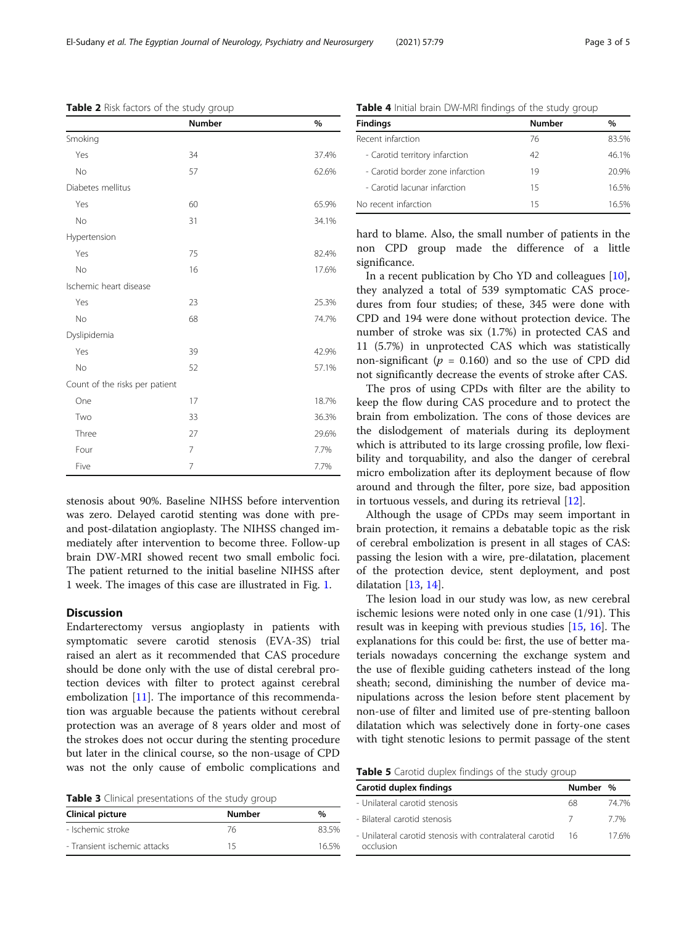stenosis about 90%. Baseline NIHSS before intervention was zero. Delayed carotid stenting was done with preand post-dilatation angioplasty. The NIHSS changed immediately after intervention to become three. Follow-up brain DW-MRI showed recent two small embolic foci. The patient returned to the initial baseline NIHSS after 1 week. The images of this case are illustrated in Fig. [1](#page-3-0).

# **Discussion**

Endarterectomy versus angioplasty in patients with symptomatic severe carotid stenosis (EVA-3S) trial raised an alert as it recommended that CAS procedure should be done only with the use of distal cerebral protection devices with filter to protect against cerebral embolization [\[11\]](#page-4-0). The importance of this recommendation was arguable because the patients without cerebral protection was an average of 8 years older and most of the strokes does not occur during the stenting procedure but later in the clinical course, so the non-usage of CPD was not the only cause of embolic complications and

Table 3 Clinical presentations of the study group

| Clinical picture             | <b>Number</b> | %     |
|------------------------------|---------------|-------|
| - Ischemic stroke            | 76            | 83.5% |
| - Transient ischemic attacks | 15            | 165%  |

| Table 4 Initial brain DW-MRI findings of the study group |               |       |  |
|----------------------------------------------------------|---------------|-------|--|
| <b>Findings</b>                                          | <b>Number</b> | %     |  |
| Recent infarction                                        | 76            | 83.5% |  |
| - Carotid territory infarction                           | 42            | 46.1% |  |
| - Carotid border zone infarction                         | 19            | 20.9% |  |
| - Carotid lacunar infarction                             | 15            | 16.5% |  |
| No recent infarction                                     | 15            | 165%  |  |

hard to blame. Also, the small number of patients in the non CPD group made the difference of a little significance.

In a recent publication by Cho YD and colleagues [\[10](#page-4-0)], they analyzed a total of 539 symptomatic CAS procedures from four studies; of these, 345 were done with CPD and 194 were done without protection device. The number of stroke was six (1.7%) in protected CAS and 11 (5.7%) in unprotected CAS which was statistically non-significant ( $p = 0.160$ ) and so the use of CPD did not significantly decrease the events of stroke after CAS.

The pros of using CPDs with filter are the ability to keep the flow during CAS procedure and to protect the brain from embolization. The cons of those devices are the dislodgement of materials during its deployment which is attributed to its large crossing profile, low flexibility and torquability, and also the danger of cerebral micro embolization after its deployment because of flow around and through the filter, pore size, bad apposition in tortuous vessels, and during its retrieval [\[12](#page-4-0)].

Although the usage of CPDs may seem important in brain protection, it remains a debatable topic as the risk of cerebral embolization is present in all stages of CAS: passing the lesion with a wire, pre-dilatation, placement of the protection device, stent deployment, and post dilatation [\[13](#page-4-0), [14](#page-4-0)].

The lesion load in our study was low, as new cerebral ischemic lesions were noted only in one case (1/91). This result was in keeping with previous studies [[15,](#page-4-0) [16\]](#page-4-0). The explanations for this could be: first, the use of better materials nowadays concerning the exchange system and the use of flexible guiding catheters instead of the long sheath; second, diminishing the number of device manipulations across the lesion before stent placement by non-use of filter and limited use of pre-stenting balloon dilatation which was selectively done in forty-one cases with tight stenotic lesions to permit passage of the stent

Table 5 Carotid duplex findings of the study group

| Carotid duplex findings                                               | Number %   |      |
|-----------------------------------------------------------------------|------------|------|
| - Unilateral carotid stenosis                                         | 68         | 747% |
| - Bilateral carotid stenosis                                          | $\sqrt{2}$ | 77%  |
| - Unilateral carotid stenosis with contralateral carotid<br>occlusion | 16         | 176% |

<span id="page-2-0"></span>Table 2 Risk factors of the study group

|                                | <b>Number</b> | %     |
|--------------------------------|---------------|-------|
| Smoking                        |               |       |
| Yes                            | 34            | 37.4% |
| No                             | 57            | 62.6% |
| Diabetes mellitus              |               |       |
| Yes                            | 60            | 65.9% |
| No                             | 31            | 34.1% |
| Hypertension                   |               |       |
| Yes                            | 75            | 82.4% |
| No                             | 16            | 17.6% |
| Ischemic heart disease         |               |       |
| Yes                            | 23            | 25.3% |
| No                             | 68            | 74.7% |
| Dyslipidemia                   |               |       |
| Yes                            | 39            | 42.9% |
| No                             | 52            | 57.1% |
| Count of the risks per patient |               |       |
| One                            | 17            | 18.7% |
| Two                            | 33            | 36.3% |
| Three                          | 27            | 29.6% |
| Four                           | 7             | 7.7%  |
| Five                           | 7             | 7.7%  |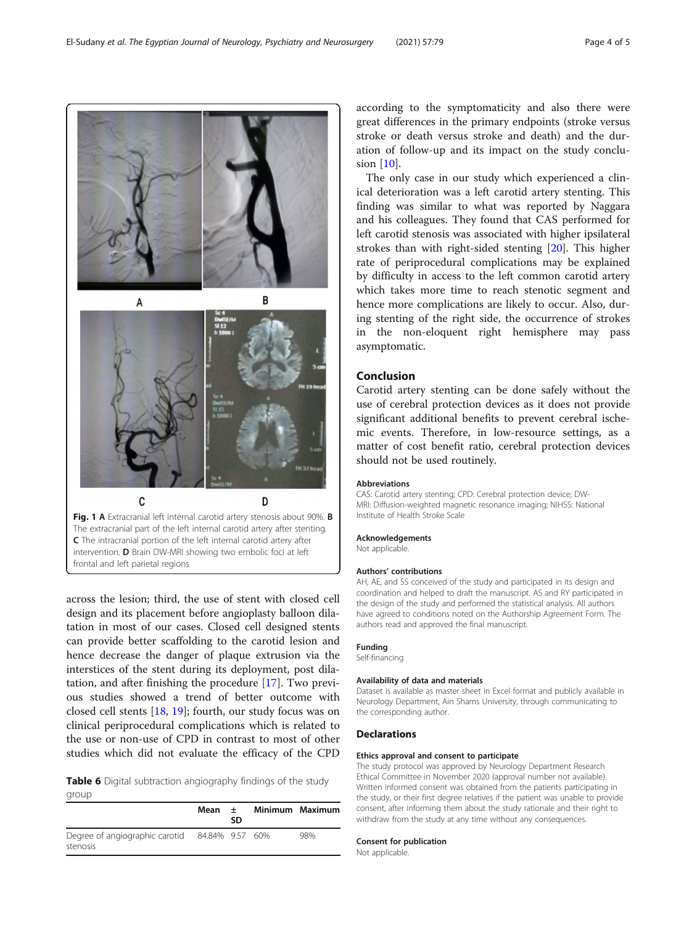across the lesion; third, the use of stent with closed cell design and its placement before angioplasty balloon dilatation in most of our cases. Closed cell designed stents can provide better scaffolding to the carotid lesion and hence decrease the danger of plaque extrusion via the interstices of the stent during its deployment, post dilatation, and after finishing the procedure [[17\]](#page-4-0). Two previ-

ous studies showed a trend of better outcome with

closed cell stents [[18,](#page-4-0) [19\]](#page-4-0); fourth, our study focus was on clinical periprocedural complications which is related to the use or non-use of CPD in contrast to most of other

Table 6 Digital subtraction angiography findings of the study group

studies which did not evaluate the efficacy of the CPD

|                                                            | Mean $\pm$ | SD | Minimum Maximum |     |
|------------------------------------------------------------|------------|----|-----------------|-----|
| Degree of angiographic carotid 84.84% 9.57 60%<br>stenosis |            |    |                 | 98% |

according to the symptomaticity and also there were great differences in the primary endpoints (stroke versus stroke or death versus stroke and death) and the duration of follow-up and its impact on the study conclusion [[10\]](#page-4-0).

The only case in our study which experienced a clinical deterioration was a left carotid artery stenting. This finding was similar to what was reported by Naggara and his colleagues. They found that CAS performed for left carotid stenosis was associated with higher ipsilateral strokes than with right-sided stenting [[20\]](#page-4-0). This higher rate of periprocedural complications may be explained by difficulty in access to the left common carotid artery which takes more time to reach stenotic segment and hence more complications are likely to occur. Also, during stenting of the right side, the occurrence of strokes in the non-eloquent right hemisphere may pass asymptomatic.

# Conclusion

Carotid artery stenting can be done safely without the use of cerebral protection devices as it does not provide significant additional benefits to prevent cerebral ischemic events. Therefore, in low-resource settings, as a matter of cost benefit ratio, cerebral protection devices should not be used routinely.

# Abbreviations

CAS: Carotid artery stenting; CPD: Cerebral protection device; DW-MRI: Diffusion-weighted magnetic resonance imaging; NIHSS: National Institute of Health Stroke Scale

#### Acknowledgements

Not applicable.

#### Authors' contributions

AH, AE, and SS conceived of the study and participated in its design and coordination and helped to draft the manuscript. AS and RY participated in the design of the study and performed the statistical analysis. All authors have agreed to conditions noted on the Authorship Agreement Form. The authors read and approved the final manuscript.

#### Funding

Self-financing

#### Availability of data and materials

Dataset is available as master sheet in Excel format and publicly available in Neurology Department, Ain Shams University, through communicating to the corresponding author.

# **Declarations**

# Ethics approval and consent to participate

The study protocol was approved by Neurology Department Research Ethical Committee in November 2020 (approval number not available). Written informed consent was obtained from the patients participating in the study, or their first degree relatives if the patient was unable to provide consent, after informing them about the study rationale and their right to withdraw from the study at any time without any consequences.

# Consent for publication

Not applicable.



The extracranial part of the left internal carotid artery after stenting. C The intracranial portion of the left internal carotid artery after intervention. D Brain DW-MRI showing two embolic foci at left

frontal and left parietal regions

<span id="page-3-0"></span>